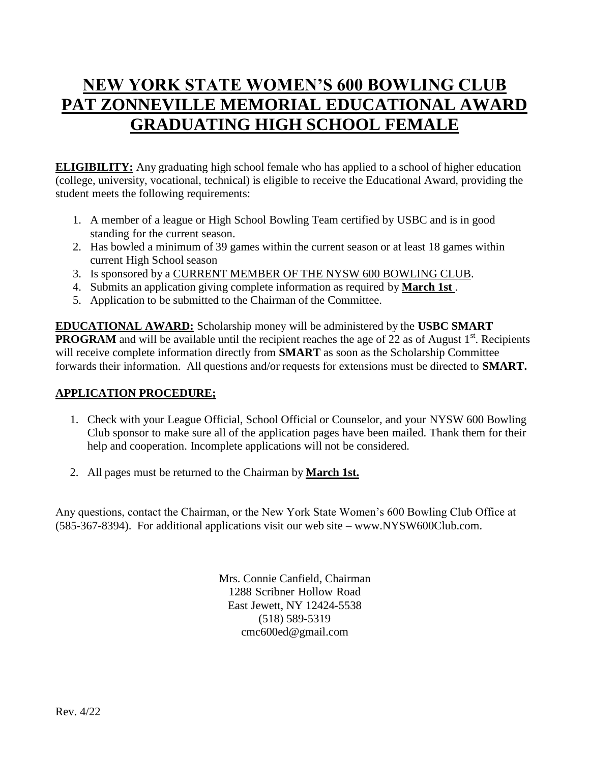# **NEW YORK STATE WOMEN'S 600 BOWLING CLUB PAT ZONNEVILLE MEMORIAL EDUCATIONAL AWARD GRADUATING HIGH SCHOOL FEMALE**

**ELIGIBILITY:** Any graduating high school female who has applied to a school of higher education (college, university, vocational, technical) is eligible to receive the Educational Award, providing the student meets the following requirements:

- 1. A member of a league or High School Bowling Team certified by USBC and is in good standing for the current season.
- 2. Has bowled a minimum of 39 games within the current season or at least 18 games within current High School season
- 3. Is sponsored by a CURRENT MEMBER OF THE NYSW 600 BOWLING CLUB.
- 4. Submits an application giving complete information as required by **March 1st** .
- 5. Application to be submitted to the Chairman of the Committee.

**EDUCATIONAL AWARD:** Scholarship money will be administered by the **USBC SMART PROGRAM** and will be available until the recipient reaches the age of 22 as of August 1<sup>st</sup>. Recipients will receive complete information directly from **SMART** as soon as the Scholarship Committee forwards their information. All questions and/or requests for extensions must be directed to **SMART.**

## **APPLICATION PROCEDURE;**

- 1. Check with your League Official, School Official or Counselor, and your NYSW 600 Bowling Club sponsor to make sure all of the application pages have been mailed. Thank them for their help and cooperation. Incomplete applications will not be considered.
- 2. All pages must be returned to the Chairman by **March 1st.**

Any questions, contact the Chairman, or the New York State Women's 600 Bowling Club Office at (585-367-8394). For additional applications visit our web site – [www.NYSW600Club.com.](http://www.nysw600club.com/)

> Mrs. Connie Canfield, Chairman 1288 Scribner Hollow Road East Jewett, NY 12424-5538 (518) 589-5319 [cmc600ed@gmail.com](mailto:cmc600ed@gmail.com)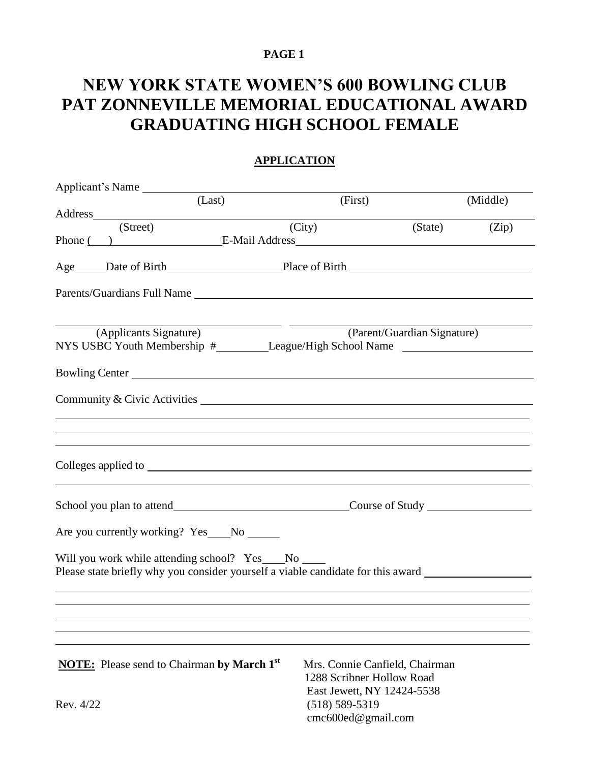#### **PAGE 1**

# **NEW YORK STATE WOMEN'S 600 BOWLING CLUB PAT ZONNEVILLE MEMORIAL EDUCATIONAL AWARD GRADUATING HIGH SCHOOL FEMALE**

| Applicant's Name                                                                                                                                        |                                                                                           |                   |          |  |  |  |
|---------------------------------------------------------------------------------------------------------------------------------------------------------|-------------------------------------------------------------------------------------------|-------------------|----------|--|--|--|
| (Last)                                                                                                                                                  | (First)                                                                                   |                   | (Middle) |  |  |  |
|                                                                                                                                                         |                                                                                           |                   |          |  |  |  |
| (Street)                                                                                                                                                | (City)                                                                                    | $(State)$ $(Zip)$ |          |  |  |  |
| Phone () E-Mail Address E-Mail Address                                                                                                                  |                                                                                           |                   |          |  |  |  |
|                                                                                                                                                         |                                                                                           |                   |          |  |  |  |
| Parents/Guardians Full Name                                                                                                                             |                                                                                           |                   |          |  |  |  |
| (Applicants Signature)<br>NYS USBC Youth Membership #________League/High School Name _____________________                                              | (Parent/Guardian Signature)                                                               |                   |          |  |  |  |
| Bowling Center                                                                                                                                          |                                                                                           |                   |          |  |  |  |
| Community & Civic Activities                                                                                                                            |                                                                                           |                   |          |  |  |  |
| ,我们也不会有一个人的事情。""我们的人,我们也不会有一个人的人,我们也不会有一个人的人,我们也不会有一个人的人,我们也不会有一个人的人,我们也不会有一个人的人                                                                        |                                                                                           |                   |          |  |  |  |
|                                                                                                                                                         | School you plan to attend Course of Study Course of Study                                 |                   |          |  |  |  |
| Are you currently working? Yes___No ______                                                                                                              |                                                                                           |                   |          |  |  |  |
| Will you work while attending school? Yes No No<br>Please state briefly why you consider yourself a viable candidate for this award ___________________ |                                                                                           |                   |          |  |  |  |
|                                                                                                                                                         |                                                                                           |                   |          |  |  |  |
| <b>NOTE:</b> Please send to Chairman by March 1 <sup>st</sup>                                                                                           | Mrs. Connie Canfield, Chairman<br>1288 Scribner Hollow Road<br>East Jewett, NY 12424-5538 |                   |          |  |  |  |
| Rev. 4/22                                                                                                                                               |                                                                                           |                   |          |  |  |  |

[cmc600ed@gmail.com](mailto:cmc600ed@gmail.com)

## **APPLICATION**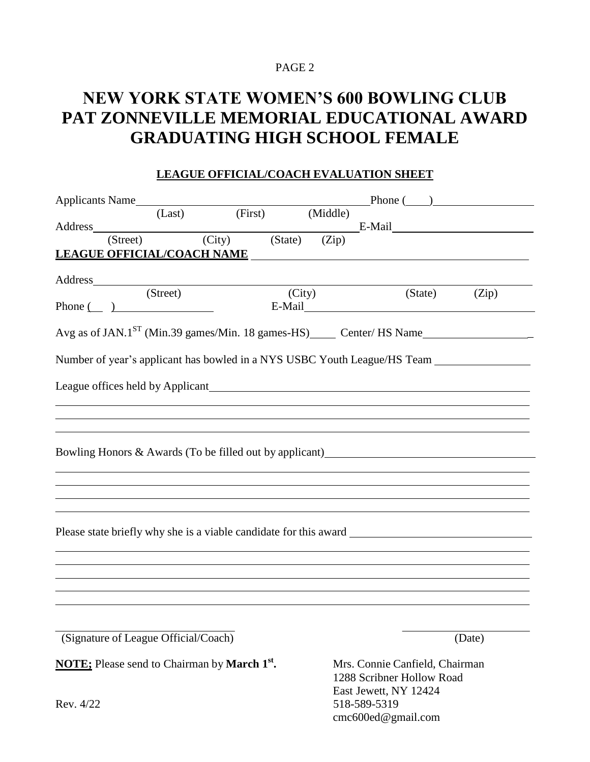#### PAGE 2

## **NEW YORK STATE WOMEN'S 600 BOWLING CLUB PAT ZONNEVILLE MEMORIAL EDUCATIONAL AWARD GRADUATING HIGH SCHOOL FEMALE**

| <b>LEAGUE OFFICIAL/COACH EVALUATION SHEET</b> |
|-----------------------------------------------|
|                                               |

|         |          | Applicants Name                                                 |        |  |                                | Phone( )                                                                      |
|---------|----------|-----------------------------------------------------------------|--------|--|--------------------------------|-------------------------------------------------------------------------------|
|         |          | (Last) (First) (Middle)                                         |        |  |                                |                                                                               |
| Address | (Street) | $\frac{\text{rect}}{\text{(City)}}$ (State) (Zip)               |        |  |                                |                                                                               |
|         |          | LEAGUE OFFICIAL/COACH NAME NAME                                 |        |  |                                |                                                                               |
|         |          |                                                                 |        |  |                                |                                                                               |
|         |          |                                                                 |        |  |                                |                                                                               |
|         |          | (Street)<br>Phone $\qquad \qquad$ )                             | (City) |  | $(State)$ $(Zip)$              |                                                                               |
|         |          |                                                                 |        |  |                                |                                                                               |
|         |          |                                                                 |        |  |                                | Avg as of JAN.1 <sup>ST</sup> (Min.39 games/Min. 18 games-HS) Center/ HS Name |
|         |          |                                                                 |        |  |                                |                                                                               |
|         |          |                                                                 |        |  |                                | Number of year's applicant has bowled in a NYS USBC Youth League/HS Team      |
|         |          |                                                                 |        |  |                                |                                                                               |
|         |          |                                                                 |        |  |                                |                                                                               |
|         |          |                                                                 |        |  |                                |                                                                               |
|         |          |                                                                 |        |  |                                |                                                                               |
|         |          |                                                                 |        |  |                                | Bowling Honors & Awards (To be filled out by applicant)                       |
|         |          |                                                                 |        |  |                                |                                                                               |
|         |          |                                                                 |        |  |                                |                                                                               |
|         |          |                                                                 |        |  |                                |                                                                               |
|         |          |                                                                 |        |  |                                |                                                                               |
|         |          |                                                                 |        |  |                                | Please state briefly why she is a viable candidate for this award             |
|         |          |                                                                 |        |  |                                |                                                                               |
|         |          |                                                                 |        |  |                                |                                                                               |
|         |          |                                                                 |        |  |                                |                                                                               |
|         |          |                                                                 |        |  |                                |                                                                               |
|         |          |                                                                 |        |  |                                |                                                                               |
|         |          | (Signature of League Official/Coach)                            |        |  |                                | (Date)                                                                        |
|         |          |                                                                 |        |  |                                |                                                                               |
|         |          | <b>NOTE:</b> Please send to Chairman by March 1 <sup>st</sup> . |        |  | Mrs. Connie Canfield, Chairman |                                                                               |

1288 Scribner Hollow Road East Jewett, NY 12424 Rev. 4/22 518-589-5319 [cmc600ed@gmail.com](mailto:cmc600ed@gmail.com)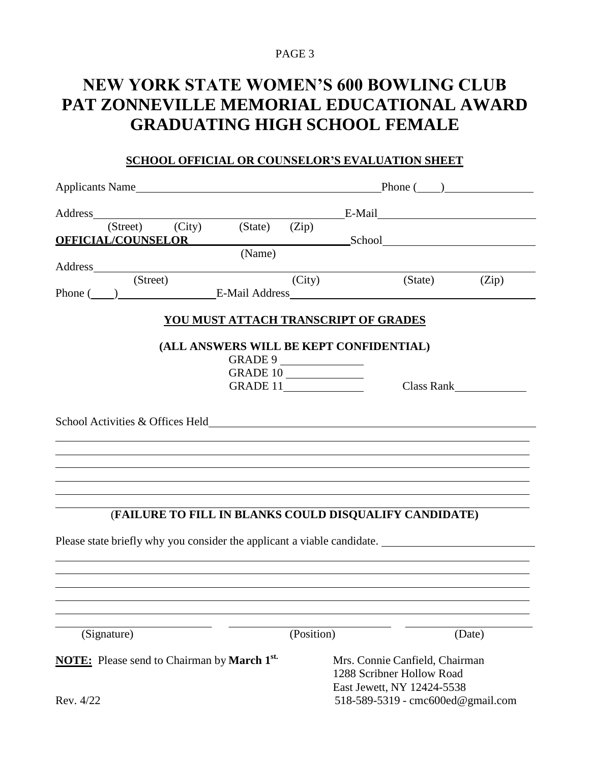#### PAGE 3

# **NEW YORK STATE WOMEN'S 600 BOWLING CLUB PAT ZONNEVILLE MEMORIAL EDUCATIONAL AWARD GRADUATING HIGH SCHOOL FEMALE**

### **SCHOOL OFFICIAL OR COUNSELOR'S EVALUATION SHEET**

|                                                                       |                                       | Applicants Name |         |                                                                                                                                                                                                                                | Phone $($ $)$                           |                                                                                                                                                                                                                                           |                                                                                                                                                                                                                                |  |  |  |
|-----------------------------------------------------------------------|---------------------------------------|-----------------|---------|--------------------------------------------------------------------------------------------------------------------------------------------------------------------------------------------------------------------------------|-----------------------------------------|-------------------------------------------------------------------------------------------------------------------------------------------------------------------------------------------------------------------------------------------|--------------------------------------------------------------------------------------------------------------------------------------------------------------------------------------------------------------------------------|--|--|--|
|                                                                       |                                       |                 |         | Address and the state of the state of the state of the state of the state of the state of the state of the state of the state of the state of the state of the state of the state of the state of the state of the state of th |                                         |                                                                                                                                                                                                                                           |                                                                                                                                                                                                                                |  |  |  |
|                                                                       | (Street)<br><b>OFFICIAL/COUNSELOR</b> | (City)          | (State) | (Zip)                                                                                                                                                                                                                          |                                         |                                                                                                                                                                                                                                           | School School School School School School School School School School School School School School School School School School School School School School School School School School School School School School School Schoo |  |  |  |
|                                                                       |                                       |                 | (Name)  |                                                                                                                                                                                                                                |                                         |                                                                                                                                                                                                                                           |                                                                                                                                                                                                                                |  |  |  |
|                                                                       |                                       |                 |         |                                                                                                                                                                                                                                |                                         |                                                                                                                                                                                                                                           |                                                                                                                                                                                                                                |  |  |  |
|                                                                       | (Street)                              |                 |         | (City)                                                                                                                                                                                                                         |                                         | (State)<br>Phone ( ) E-Mail Address E-Mail And E-Mail Address E-Mail Address E-Mail Address E-Mail Address E-Mail Address E-Mail Address E-Mail Address E-Mail Address E-Mail Address E-Mail Address E-Mail Address E-Mail Address E-Mail | (Zip)                                                                                                                                                                                                                          |  |  |  |
|                                                                       |                                       |                 |         |                                                                                                                                                                                                                                | YOU MUST ATTACH TRANSCRIPT OF GRADES    |                                                                                                                                                                                                                                           |                                                                                                                                                                                                                                |  |  |  |
|                                                                       |                                       |                 |         |                                                                                                                                                                                                                                |                                         |                                                                                                                                                                                                                                           |                                                                                                                                                                                                                                |  |  |  |
|                                                                       |                                       |                 |         |                                                                                                                                                                                                                                | (ALL ANSWERS WILL BE KEPT CONFIDENTIAL) |                                                                                                                                                                                                                                           |                                                                                                                                                                                                                                |  |  |  |
|                                                                       |                                       |                 |         | GRADE 9<br>GRADE 10                                                                                                                                                                                                            |                                         |                                                                                                                                                                                                                                           |                                                                                                                                                                                                                                |  |  |  |
|                                                                       |                                       |                 |         | GRADE 11                                                                                                                                                                                                                       |                                         |                                                                                                                                                                                                                                           | Class Rank                                                                                                                                                                                                                     |  |  |  |
|                                                                       |                                       |                 |         |                                                                                                                                                                                                                                |                                         |                                                                                                                                                                                                                                           |                                                                                                                                                                                                                                |  |  |  |
|                                                                       |                                       |                 |         |                                                                                                                                                                                                                                |                                         |                                                                                                                                                                                                                                           |                                                                                                                                                                                                                                |  |  |  |
|                                                                       |                                       |                 |         |                                                                                                                                                                                                                                |                                         | (FAILURE TO FILL IN BLANKS COULD DISQUALIFY CANDIDATE)                                                                                                                                                                                    |                                                                                                                                                                                                                                |  |  |  |
|                                                                       |                                       |                 |         |                                                                                                                                                                                                                                |                                         |                                                                                                                                                                                                                                           | Please state briefly why you consider the applicant a viable candidate.                                                                                                                                                        |  |  |  |
|                                                                       |                                       |                 |         |                                                                                                                                                                                                                                |                                         |                                                                                                                                                                                                                                           |                                                                                                                                                                                                                                |  |  |  |
|                                                                       |                                       |                 |         |                                                                                                                                                                                                                                |                                         |                                                                                                                                                                                                                                           |                                                                                                                                                                                                                                |  |  |  |
|                                                                       |                                       |                 |         |                                                                                                                                                                                                                                |                                         |                                                                                                                                                                                                                                           |                                                                                                                                                                                                                                |  |  |  |
|                                                                       |                                       |                 |         |                                                                                                                                                                                                                                |                                         |                                                                                                                                                                                                                                           |                                                                                                                                                                                                                                |  |  |  |
|                                                                       | (Signature)                           |                 |         | (Position)                                                                                                                                                                                                                     |                                         |                                                                                                                                                                                                                                           | (Date)                                                                                                                                                                                                                         |  |  |  |
| <b>NOTE:</b> Please send to Chairman by <b>March 1</b> <sup>st.</sup> |                                       |                 |         | Mrs. Connie Canfield, Chairman                                                                                                                                                                                                 |                                         |                                                                                                                                                                                                                                           |                                                                                                                                                                                                                                |  |  |  |
|                                                                       |                                       |                 |         | 1288 Scribner Hollow Road                                                                                                                                                                                                      |                                         |                                                                                                                                                                                                                                           |                                                                                                                                                                                                                                |  |  |  |
|                                                                       |                                       |                 |         | East Jewett, NY 12424-5538                                                                                                                                                                                                     |                                         |                                                                                                                                                                                                                                           |                                                                                                                                                                                                                                |  |  |  |
| Rev. 4/22                                                             |                                       |                 |         |                                                                                                                                                                                                                                | 518-589-5319 - cmc600ed@gmail.com       |                                                                                                                                                                                                                                           |                                                                                                                                                                                                                                |  |  |  |